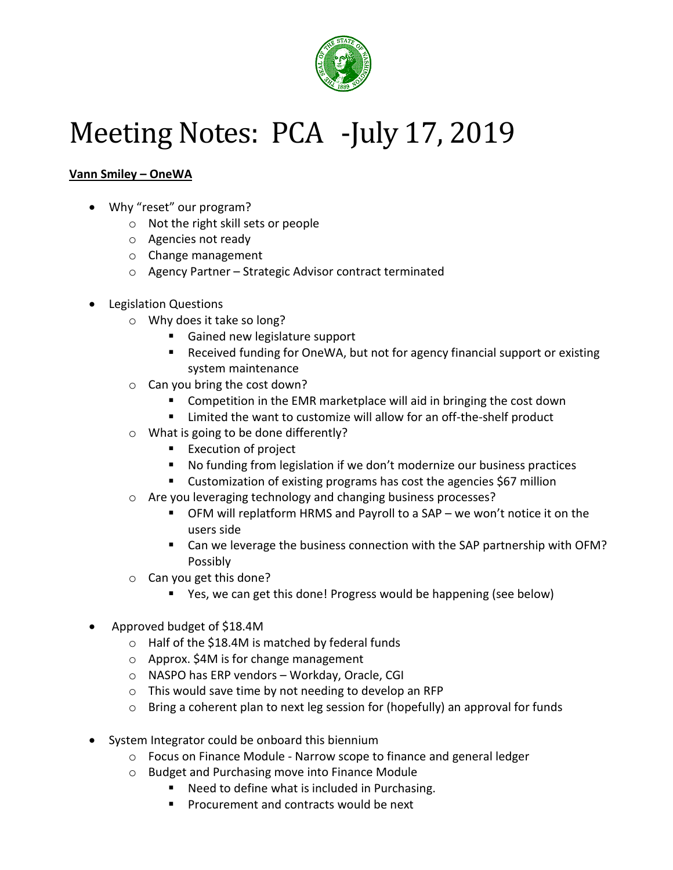

# Meeting Notes: PCA -July 17, 2019

## **Vann Smiley – OneWA**

- Why "reset" our program?
	- o Not the right skill sets or people
	- o Agencies not ready
	- o Change management
	- o Agency Partner Strategic Advisor contract terminated
- Legislation Questions
	- o Why does it take so long?
		- Gained new legislature support
		- Received funding for OneWA, but not for agency financial support or existing system maintenance
	- o Can you bring the cost down?
		- Competition in the EMR marketplace will aid in bringing the cost down
		- **EXTE:** Limited the want to customize will allow for an off-the-shelf product
	- o What is going to be done differently?
		- **Execution of project**
		- No funding from legislation if we don't modernize our business practices
		- Customization of existing programs has cost the agencies \$67 million
	- o Are you leveraging technology and changing business processes?
		- OFM will replatform HRMS and Payroll to a SAP we won't notice it on the users side
		- Can we leverage the business connection with the SAP partnership with OFM? Possibly
	- o Can you get this done?
		- Yes, we can get this done! Progress would be happening (see below)
- Approved budget of \$18.4M
	- o Half of the \$18.4M is matched by federal funds
	- o Approx. \$4M is for change management
	- o NASPO has ERP vendors Workday, Oracle, CGI
	- o This would save time by not needing to develop an RFP
	- $\circ$  Bring a coherent plan to next leg session for (hopefully) an approval for funds
- System Integrator could be onboard this biennium
	- o Focus on Finance Module Narrow scope to finance and general ledger
	- o Budget and Purchasing move into Finance Module
		- Need to define what is included in Purchasing.
		- **Procurement and contracts would be next**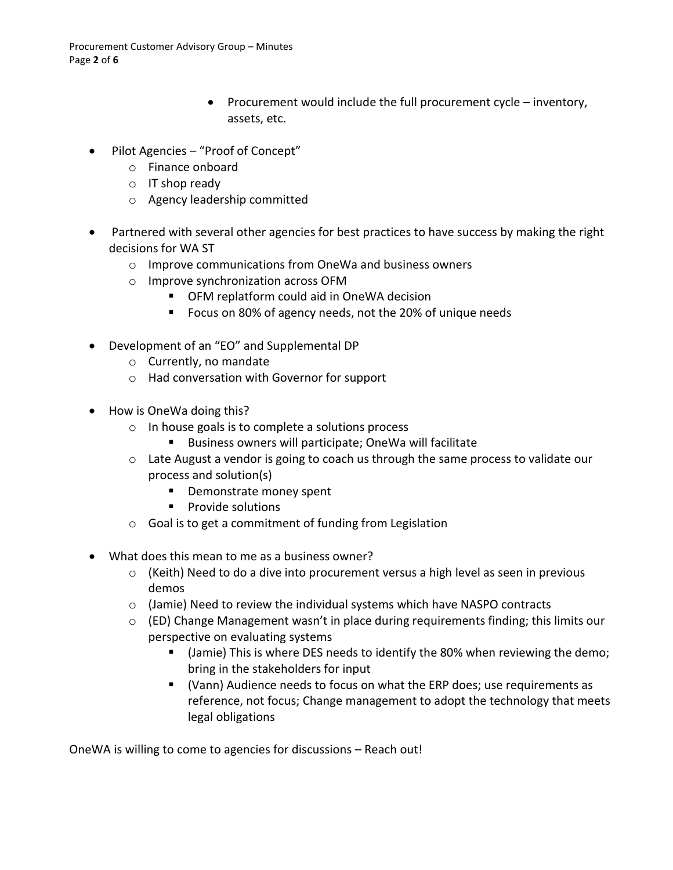- Procurement would include the full procurement cycle inventory, assets, etc.
- Pilot Agencies "Proof of Concept"
	- o Finance onboard
	- o IT shop ready
	- o Agency leadership committed
- Partnered with several other agencies for best practices to have success by making the right decisions for WA ST
	- o Improve communications from OneWa and business owners
	- o Improve synchronization across OFM
		- OFM replatform could aid in OneWA decision
		- Focus on 80% of agency needs, not the 20% of unique needs
- Development of an "EO" and Supplemental DP
	- o Currently, no mandate
	- o Had conversation with Governor for support
- How is OneWa doing this?
	- o In house goals is to complete a solutions process
		- Business owners will participate; OneWa will facilitate
	- o Late August a vendor is going to coach us through the same process to validate our process and solution(s)
		- **Demonstrate money spent**
		- **Provide solutions**
	- o Goal is to get a commitment of funding from Legislation
- What does this mean to me as a business owner?
	- $\circ$  (Keith) Need to do a dive into procurement versus a high level as seen in previous demos
	- $\circ$  (Jamie) Need to review the individual systems which have NASPO contracts
	- $\circ$  (ED) Change Management wasn't in place during requirements finding; this limits our perspective on evaluating systems
		- (Jamie) This is where DES needs to identify the 80% when reviewing the demo; bring in the stakeholders for input
		- (Vann) Audience needs to focus on what the ERP does; use requirements as reference, not focus; Change management to adopt the technology that meets legal obligations

OneWA is willing to come to agencies for discussions – Reach out!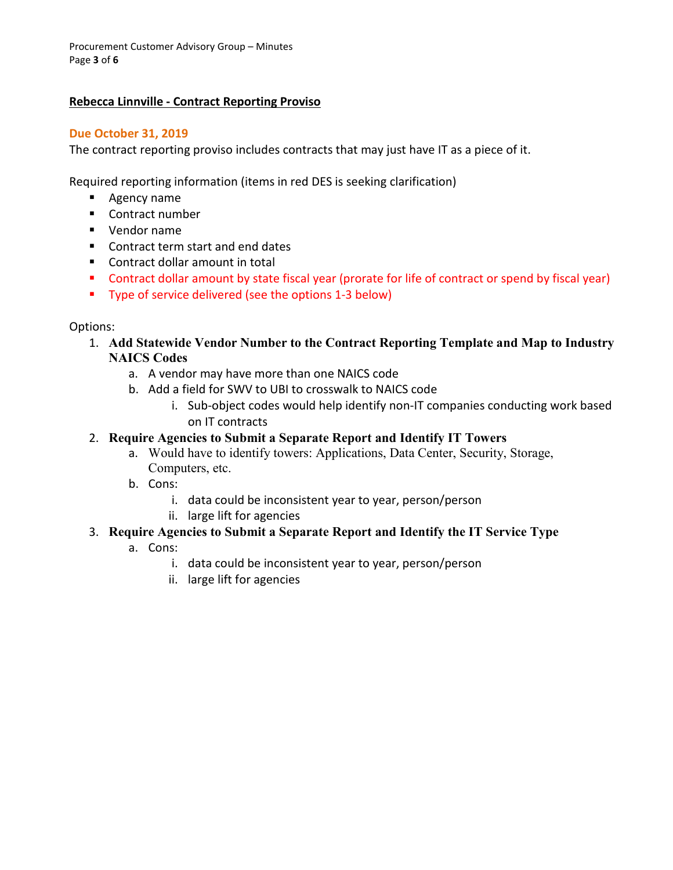Procurement Customer Advisory Group – Minutes Page **3** of **6**

#### **Rebecca Linnville - Contract Reporting Proviso**

#### **Due October 31, 2019**

The contract reporting proviso includes contracts that may just have IT as a piece of it.

Required reporting information (items in red DES is seeking clarification)

- **Agency name**
- Contract number
- Vendor name
- Contract term start and end dates
- Contract dollar amount in total
- Contract dollar amount by state fiscal year (prorate for life of contract or spend by fiscal year)
- **Type of service delivered (see the options 1-3 below)**

#### Options:

- 1. **Add Statewide Vendor Number to the Contract Reporting Template and Map to Industry NAICS Codes**
	- a. A vendor may have more than one NAICS code
	- b. Add a field for SWV to UBI to crosswalk to NAICS code
		- i. Sub-object codes would help identify non-IT companies conducting work based on IT contracts

#### 2. **Require Agencies to Submit a Separate Report and Identify IT Towers**

- a. Would have to identify towers: Applications, Data Center, Security, Storage, Computers, etc.
- b. Cons:
	- i. data could be inconsistent year to year, person/person
	- ii. large lift for agencies

### 3. **Require Agencies to Submit a Separate Report and Identify the IT Service Type**

- a. Cons:
	- i. data could be inconsistent year to year, person/person
	- ii. large lift for agencies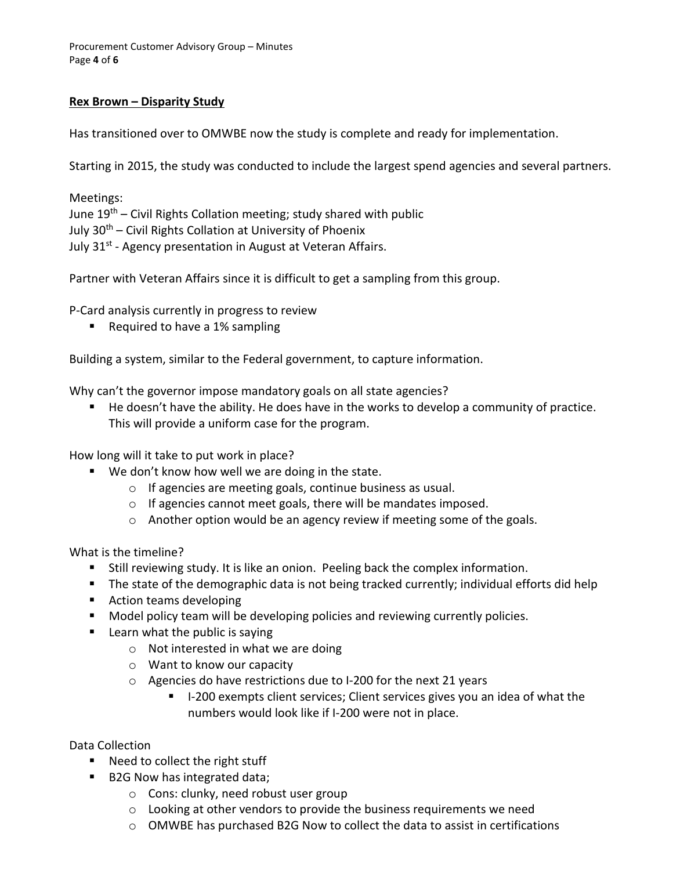Procurement Customer Advisory Group – Minutes Page **4** of **6**

#### **Rex Brown – Disparity Study**

Has transitioned over to OMWBE now the study is complete and ready for implementation.

Starting in 2015, the study was conducted to include the largest spend agencies and several partners.

Meetings: June  $19<sup>th</sup>$  – Civil Rights Collation meeting; study shared with public July  $30<sup>th</sup>$  – Civil Rights Collation at University of Phoenix July 31<sup>st</sup> - Agency presentation in August at Veteran Affairs.

Partner with Veteran Affairs since it is difficult to get a sampling from this group.

P-Card analysis currently in progress to review

■ Required to have a 1% sampling

Building a system, similar to the Federal government, to capture information.

Why can't the governor impose mandatory goals on all state agencies?

 He doesn't have the ability. He does have in the works to develop a community of practice. This will provide a uniform case for the program.

How long will it take to put work in place?

- We don't know how well we are doing in the state.
	- o If agencies are meeting goals, continue business as usual.
	- o If agencies cannot meet goals, there will be mandates imposed.
	- o Another option would be an agency review if meeting some of the goals.

What is the timeline?

- Still reviewing study. It is like an onion. Peeling back the complex information.
- **The state of the demographic data is not being tracked currently; individual efforts did help**
- Action teams developing
- **Model policy team will be developing policies and reviewing currently policies.**
- $\blacksquare$  Learn what the public is saying
	- o Not interested in what we are doing
	- o Want to know our capacity
	- o Agencies do have restrictions due to I-200 for the next 21 years
		- I-200 exempts client services; Client services gives you an idea of what the numbers would look like if I-200 were not in place.

Data Collection

- Need to collect the right stuff
- B2G Now has integrated data;
	- o Cons: clunky, need robust user group
	- o Looking at other vendors to provide the business requirements we need
	- $\circ$  OMWBE has purchased B2G Now to collect the data to assist in certifications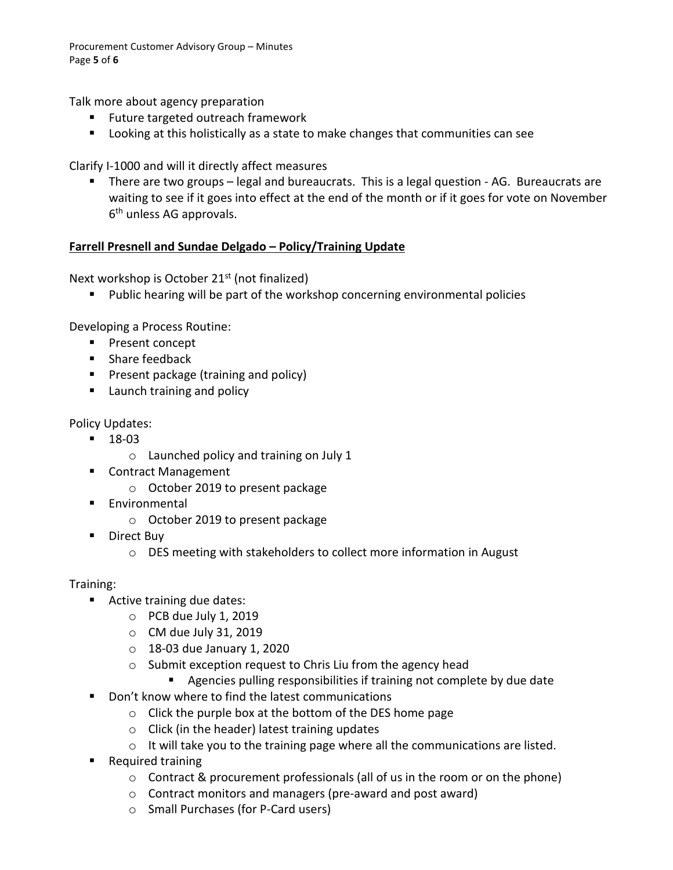Procurement Customer Advisory Group – Minutes Page **5** of **6**

Talk more about agency preparation

- **Future targeted outreach framework**
- Looking at this holistically as a state to make changes that communities can see

Clarify I-1000 and will it directly affect measures

 There are two groups – legal and bureaucrats. This is a legal question - AG. Bureaucrats are waiting to see if it goes into effect at the end of the month or if it goes for vote on November 6<sup>th</sup> unless AG approvals.

#### **Farrell Presnell and Sundae Delgado – Policy/Training Update**

Next workshop is October 21<sup>st</sup> (not finalized)

Public hearing will be part of the workshop concerning environmental policies

Developing a Process Routine:

- **Present concept**
- **Share feedback**
- **Present package (training and policy)**
- **Launch training and policy**

Policy Updates:

- $18-03$ 
	- o Launched policy and training on July 1
- Contract Management
	- o October 2019 to present package
- **Environmental** 
	- o October 2019 to present package
- **Direct Buy** 
	- o DES meeting with stakeholders to collect more information in August

Training:

- Active training due dates:
	- o PCB due July 1, 2019
	- $\circ$  CM due July 31, 2019
	- o 18-03 due January 1, 2020
	- o Submit exception request to Chris Liu from the agency head
		- Agencies pulling responsibilities if training not complete by due date
- Don't know where to find the latest communications
	- o Click the purple box at the bottom of the DES home page
	- o Click (in the header) latest training updates
	- $\circ$  It will take you to the training page where all the communications are listed.
- **Required training** 
	- $\circ$  Contract & procurement professionals (all of us in the room or on the phone)
	- o Contract monitors and managers (pre-award and post award)
	- o Small Purchases (for P-Card users)